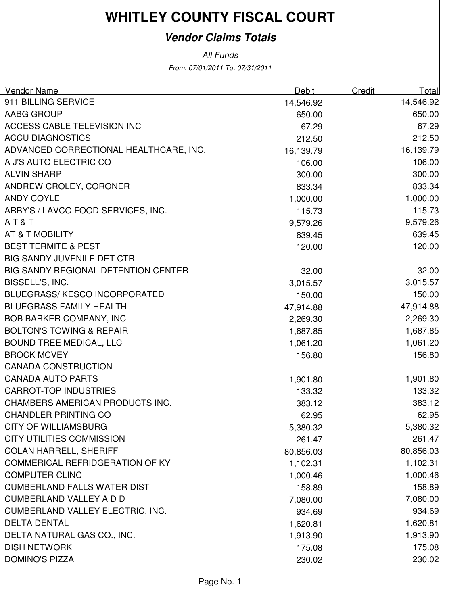### **Vendor Claims Totals**

| Vendor Name                                | Debit     | Credit | Total     |
|--------------------------------------------|-----------|--------|-----------|
| 911 BILLING SERVICE                        | 14,546.92 |        | 14,546.92 |
| AABG GROUP                                 | 650.00    |        | 650.00    |
| <b>ACCESS CABLE TELEVISION INC</b>         | 67.29     |        | 67.29     |
| <b>ACCU DIAGNOSTICS</b>                    | 212.50    |        | 212.50    |
| ADVANCED CORRECTIONAL HEALTHCARE, INC.     | 16,139.79 |        | 16,139.79 |
| A J'S AUTO ELECTRIC CO                     | 106.00    |        | 106.00    |
| <b>ALVIN SHARP</b>                         | 300.00    |        | 300.00    |
| ANDREW CROLEY, CORONER                     | 833.34    |        | 833.34    |
| <b>ANDY COYLE</b>                          | 1,000.00  |        | 1,000.00  |
| ARBY'S / LAVCO FOOD SERVICES, INC.         | 115.73    |        | 115.73    |
| AT&T                                       | 9,579.26  |        | 9,579.26  |
| AT & T MOBILITY                            | 639.45    |        | 639.45    |
| <b>BEST TERMITE &amp; PEST</b>             | 120.00    |        | 120.00    |
| <b>BIG SANDY JUVENILE DET CTR</b>          |           |        |           |
| <b>BIG SANDY REGIONAL DETENTION CENTER</b> | 32.00     |        | 32.00     |
| BISSELL'S, INC.                            | 3,015.57  |        | 3,015.57  |
| <b>BLUEGRASS/KESCO INCORPORATED</b>        | 150.00    |        | 150.00    |
| <b>BLUEGRASS FAMILY HEALTH</b>             | 47,914.88 |        | 47,914.88 |
| <b>BOB BARKER COMPANY, INC</b>             | 2,269.30  |        | 2,269.30  |
| <b>BOLTON'S TOWING &amp; REPAIR</b>        | 1,687.85  |        | 1,687.85  |
| <b>BOUND TREE MEDICAL, LLC</b>             | 1,061.20  |        | 1,061.20  |
| <b>BROCK MCVEY</b>                         | 156.80    |        | 156.80    |
| <b>CANADA CONSTRUCTION</b>                 |           |        |           |
| <b>CANADA AUTO PARTS</b>                   | 1,901.80  |        | 1,901.80  |
| <b>CARROT-TOP INDUSTRIES</b>               | 133.32    |        | 133.32    |
| CHAMBERS AMERICAN PRODUCTS INC.            | 383.12    |        | 383.12    |
| <b>CHANDLER PRINTING CO</b>                | 62.95     |        | 62.95     |
| <b>CITY OF WILLIAMSBURG</b>                | 5,380.32  |        | 5,380.32  |
| <b>CITY UTILITIES COMMISSION</b>           | 261.47    |        | 261.47    |
| <b>COLAN HARRELL, SHERIFF</b>              | 80,856.03 |        | 80,856.03 |
| <b>COMMERICAL REFRIDGERATION OF KY</b>     | 1,102.31  |        | 1,102.31  |
| <b>COMPUTER CLINC</b>                      | 1,000.46  |        | 1,000.46  |
| <b>CUMBERLAND FALLS WATER DIST</b>         | 158.89    |        | 158.89    |
| <b>CUMBERLAND VALLEY A D D</b>             | 7,080.00  |        | 7,080.00  |
| CUMBERLAND VALLEY ELECTRIC, INC.           | 934.69    |        | 934.69    |
| <b>DELTA DENTAL</b>                        | 1,620.81  |        | 1,620.81  |
| DELTA NATURAL GAS CO., INC.                | 1,913.90  |        | 1,913.90  |
| <b>DISH NETWORK</b>                        | 175.08    |        | 175.08    |
| <b>DOMINO'S PIZZA</b>                      | 230.02    |        | 230.02    |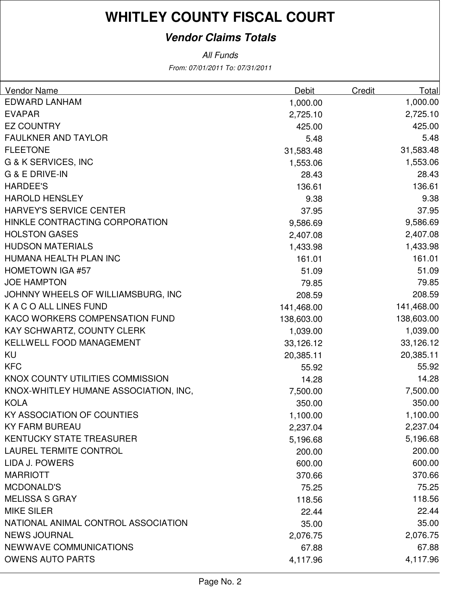### **Vendor Claims Totals**

| Vendor Name                           | <b>Debit</b> | <b>Credit</b> | Total      |
|---------------------------------------|--------------|---------------|------------|
| <b>EDWARD LANHAM</b>                  | 1,000.00     |               | 1,000.00   |
| <b>EVAPAR</b>                         | 2,725.10     |               | 2,725.10   |
| <b>EZ COUNTRY</b>                     | 425.00       |               | 425.00     |
| <b>FAULKNER AND TAYLOR</b>            | 5.48         |               | 5.48       |
| <b>FLEETONE</b>                       | 31,583.48    |               | 31,583.48  |
| G & K SERVICES, INC                   | 1,553.06     |               | 1,553.06   |
| G & E DRIVE-IN                        | 28.43        |               | 28.43      |
| <b>HARDEE'S</b>                       | 136.61       |               | 136.61     |
| <b>HAROLD HENSLEY</b>                 | 9.38         |               | 9.38       |
| HARVEY'S SERVICE CENTER               | 37.95        |               | 37.95      |
| HINKLE CONTRACTING CORPORATION        | 9,586.69     |               | 9,586.69   |
| <b>HOLSTON GASES</b>                  | 2,407.08     |               | 2,407.08   |
| <b>HUDSON MATERIALS</b>               | 1,433.98     |               | 1,433.98   |
| HUMANA HEALTH PLAN INC                | 161.01       |               | 161.01     |
| <b>HOMETOWN IGA #57</b>               | 51.09        |               | 51.09      |
| <b>JOE HAMPTON</b>                    | 79.85        |               | 79.85      |
| JOHNNY WHEELS OF WILLIAMSBURG, INC    | 208.59       |               | 208.59     |
| K A C O ALL LINES FUND                | 141,468.00   |               | 141,468.00 |
| KACO WORKERS COMPENSATION FUND        | 138,603.00   |               | 138,603.00 |
| KAY SCHWARTZ, COUNTY CLERK            | 1,039.00     |               | 1,039.00   |
| KELLWELL FOOD MANAGEMENT              | 33,126.12    |               | 33,126.12  |
| KU                                    | 20,385.11    |               | 20,385.11  |
| <b>KFC</b>                            | 55.92        |               | 55.92      |
| KNOX COUNTY UTILITIES COMMISSION      | 14.28        |               | 14.28      |
| KNOX-WHITLEY HUMANE ASSOCIATION, INC, | 7,500.00     |               | 7,500.00   |
| <b>KOLA</b>                           | 350.00       |               | 350.00     |
| KY ASSOCIATION OF COUNTIES            | 1,100.00     |               | 1,100.00   |
| <b>KY FARM BUREAU</b>                 | 2,237.04     |               | 2,237.04   |
| KENTUCKY STATE TREASURER              | 5,196.68     |               | 5,196.68   |
| LAUREL TERMITE CONTROL                | 200.00       |               | 200.00     |
| LIDA J. POWERS                        | 600.00       |               | 600.00     |
| <b>MARRIOTT</b>                       | 370.66       |               | 370.66     |
| <b>MCDONALD'S</b>                     | 75.25        |               | 75.25      |
| <b>MELISSA S GRAY</b>                 | 118.56       |               | 118.56     |
| <b>MIKE SILER</b>                     | 22.44        |               | 22.44      |
| NATIONAL ANIMAL CONTROL ASSOCIATION   | 35.00        |               | 35.00      |
| <b>NEWS JOURNAL</b>                   | 2,076.75     |               | 2,076.75   |
| NEWWAVE COMMUNICATIONS                | 67.88        |               | 67.88      |
| <b>OWENS AUTO PARTS</b>               | 4,117.96     |               | 4,117.96   |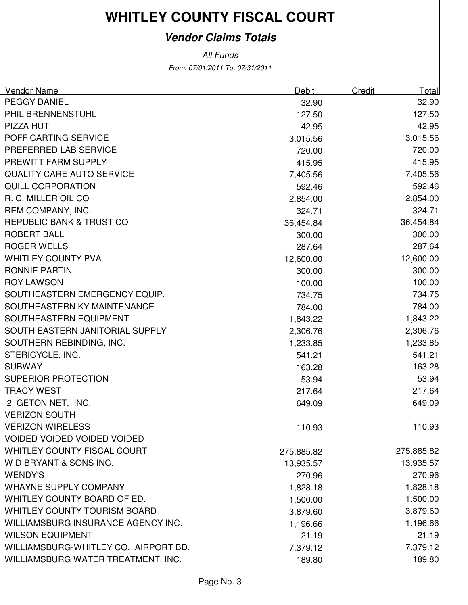### **Vendor Claims Totals**

| <b>Vendor Name</b>                   | Debit      | Credit | Total      |
|--------------------------------------|------------|--------|------------|
| <b>PEGGY DANIEL</b>                  | 32.90      |        | 32.90      |
| PHIL BRENNENSTUHL                    | 127.50     |        | 127.50     |
| PIZZA HUT                            | 42.95      |        | 42.95      |
| POFF CARTING SERVICE                 | 3,015.56   |        | 3,015.56   |
| PREFERRED LAB SERVICE                | 720.00     |        | 720.00     |
| PREWITT FARM SUPPLY                  | 415.95     |        | 415.95     |
| <b>QUALITY CARE AUTO SERVICE</b>     | 7,405.56   |        | 7,405.56   |
| <b>QUILL CORPORATION</b>             | 592.46     |        | 592.46     |
| R. C. MILLER OIL CO                  | 2,854.00   |        | 2,854.00   |
| REM COMPANY, INC.                    | 324.71     |        | 324.71     |
| REPUBLIC BANK & TRUST CO             | 36,454.84  |        | 36,454.84  |
| <b>ROBERT BALL</b>                   | 300.00     |        | 300.00     |
| <b>ROGER WELLS</b>                   | 287.64     |        | 287.64     |
| <b>WHITLEY COUNTY PVA</b>            | 12,600.00  |        | 12,600.00  |
| <b>RONNIE PARTIN</b>                 | 300.00     |        | 300.00     |
| <b>ROY LAWSON</b>                    | 100.00     |        | 100.00     |
| SOUTHEASTERN EMERGENCY EQUIP.        | 734.75     |        | 734.75     |
| SOUTHEASTERN KY MAINTENANCE          | 784.00     |        | 784.00     |
| SOUTHEASTERN EQUIPMENT               | 1,843.22   |        | 1,843.22   |
| SOUTH EASTERN JANITORIAL SUPPLY      | 2,306.76   |        | 2,306.76   |
| SOUTHERN REBINDING, INC.             | 1,233.85   |        | 1,233.85   |
| STERICYCLE, INC.                     | 541.21     |        | 541.21     |
| <b>SUBWAY</b>                        | 163.28     |        | 163.28     |
| <b>SUPERIOR PROTECTION</b>           | 53.94      |        | 53.94      |
| <b>TRACY WEST</b>                    | 217.64     |        | 217.64     |
| 2 GETON NET, INC.                    | 649.09     |        | 649.09     |
| <b>VERIZON SOUTH</b>                 |            |        |            |
| <b>VERIZON WIRELESS</b>              | 110.93     |        | 110.93     |
| VOIDED VOIDED VOIDED VOIDED          |            |        |            |
| WHITLEY COUNTY FISCAL COURT          | 275,885.82 |        | 275,885.82 |
| W D BRYANT & SONS INC.               | 13,935.57  |        | 13,935.57  |
| <b>WENDY'S</b>                       | 270.96     |        | 270.96     |
| <b>WHAYNE SUPPLY COMPANY</b>         | 1,828.18   |        | 1,828.18   |
| WHITLEY COUNTY BOARD OF ED.          | 1,500.00   |        | 1,500.00   |
| <b>WHITLEY COUNTY TOURISM BOARD</b>  | 3,879.60   |        | 3,879.60   |
| WILLIAMSBURG INSURANCE AGENCY INC.   | 1,196.66   |        | 1,196.66   |
| <b>WILSON EQUIPMENT</b>              | 21.19      |        | 21.19      |
| WILLIAMSBURG-WHITLEY CO. AIRPORT BD. | 7,379.12   |        | 7,379.12   |
| WILLIAMSBURG WATER TREATMENT, INC.   | 189.80     |        | 189.80     |